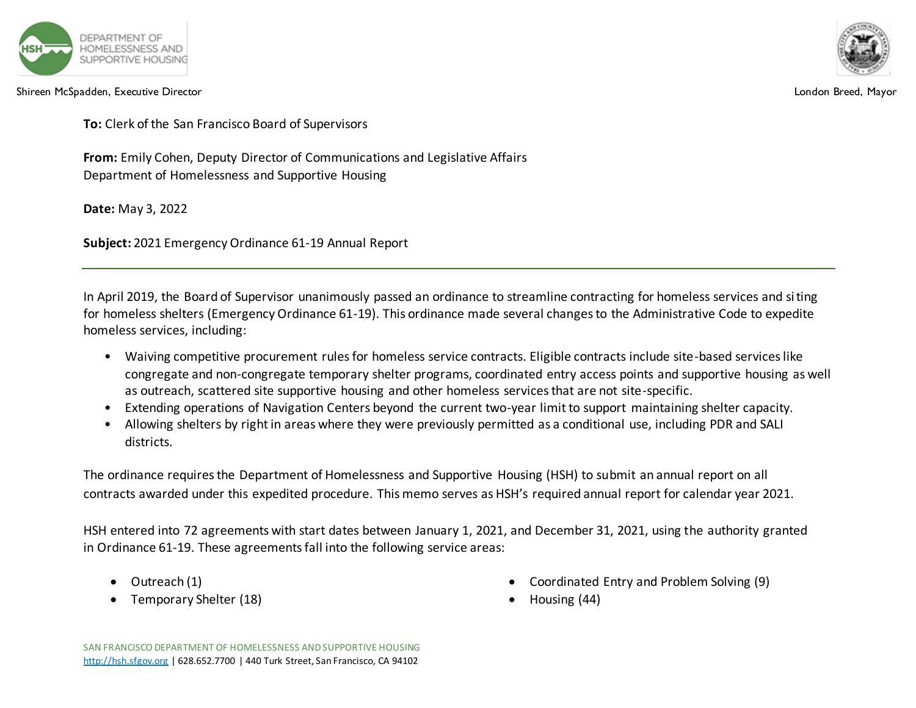

Shireen McSpadden, Executive Director London Breed, Mayor

**To:** Clerk of the San Francisco Board of Supervisors

**From:** Emily Cohen, Deputy Director of Communications and Legislative Affairs Department of Homelessness and Supportive Housing

**Date:** May 3, 2022

**Subject:** 2021 Emergency Ordinance 61-19 Annual Report

In April 2019, the Board of Supervisor unanimously passed an ordinance to streamline contracting for homeless services and siting for homeless shelters (Emergency Ordinance 61-19). This ordinance made several changes to the Administrative Code to expedite homeless services, including:

- Waiving competitive procurement rules for homeless service contracts. Eligible contracts include site-based services like congregate and non-congregate temporary shelter programs, coordinated entry access points and supportive housing as well as outreach, scattered site supportive housing and other homeless services that are not site-specific.
- Extending operations of Navigation Centers beyond the current two-year limit to support maintaining shelter capacity.
- Allowing shelters by right in areas where they were previously permitted as a conditional use, including PDR and SALI districts.

The ordinance requires the Department of Homelessness and Supportive Housing (HSH) to submit an annual report on all contracts awarded under this expedited procedure. This memo serves as HSH's required annual report for calendar year 2021.

HSH entered into 72 agreements with start dates between January 1, 2021, and December 31, 2021, using the authority granted in Ordinance 61-19. These agreements fall into the following service areas:

- Outreach (1)
- Temporary Shelter (18)
- Coordinated Entry and Problem Solving (9)
- Housing (44)

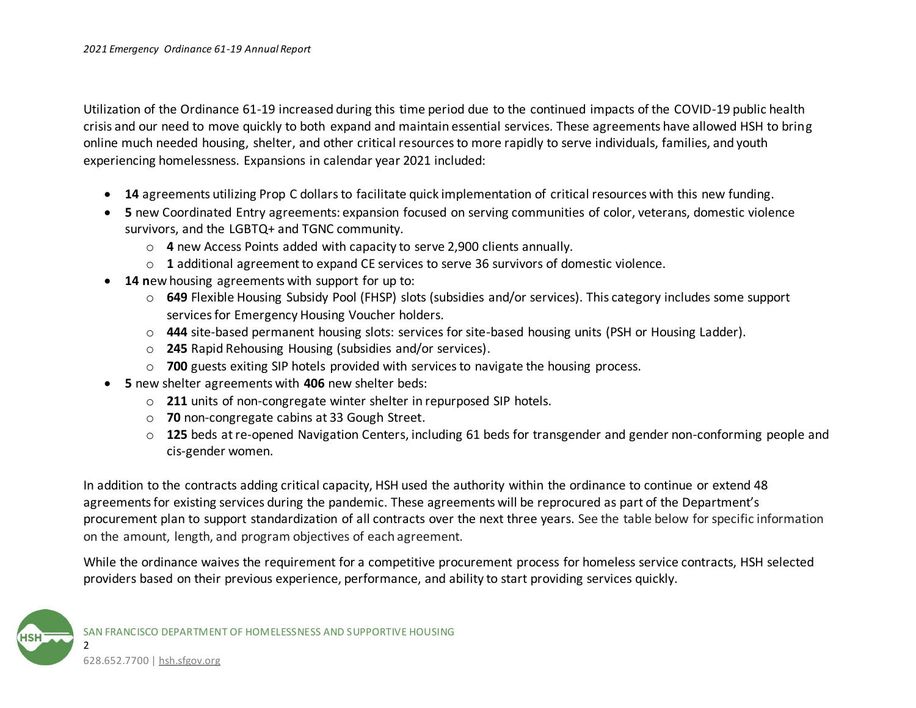Utilization of the Ordinance 61-19 increased during this time period due to the continued impacts of the COVID-19 public health crisis and our need to move quickly to both expand and maintain essential services. These agreements have allowed HSH to bring online much needed housing, shelter, and other critical resources to more rapidly to serve individuals, families, and youth experiencing homelessness. Expansions in calendar year 2021 included:

- **14** agreements utilizing Prop C dollars to facilitate quick implementation of critical resources with this new funding.
- **5** new Coordinated Entry agreements: expansion focused on serving communities of color, veterans, domestic violence survivors, and the LGBTQ+ and TGNC community.
	- o **4** new Access Points added with capacity to serve 2,900 clients annually.
	- o **1** additional agreement to expand CE services to serve 36 survivors of domestic violence.
- **14 n**ew housing agreements with support for up to:
	- o **649** Flexible Housing Subsidy Pool (FHSP) slots (subsidies and/or services). This category includes some support services for Emergency Housing Voucher holders.
	- o **444** site-based permanent housing slots: services for site-based housing units (PSH or Housing Ladder).
	- o **245** Rapid Rehousing Housing (subsidies and/or services).
	- o **700** guests exiting SIP hotels provided with services to navigate the housing process.
- **5** new shelter agreements with **406** new shelter beds:
	- o **211** units of non-congregate winter shelter in repurposed SIP hotels.
	- o **70** non-congregate cabins at 33 Gough Street.
	- o **125** beds at re-opened Navigation Centers, including 61 beds for transgender and gender non-conforming people and cis-gender women.

In addition to the contracts adding critical capacity, HSH used the authority within the ordinance to continue or extend 48 agreements for existing services during the pandemic. These agreements will be reprocured as part of the Department's procurement plan to support standardization of all contracts over the next three years. See the table below for specific information on the amount, length, and program objectives of each agreement.

While the ordinance waives the requirement for a competitive procurement process for homeless service contracts, HSH selected providers based on their previous experience, performance, and ability to start providing services quickly.

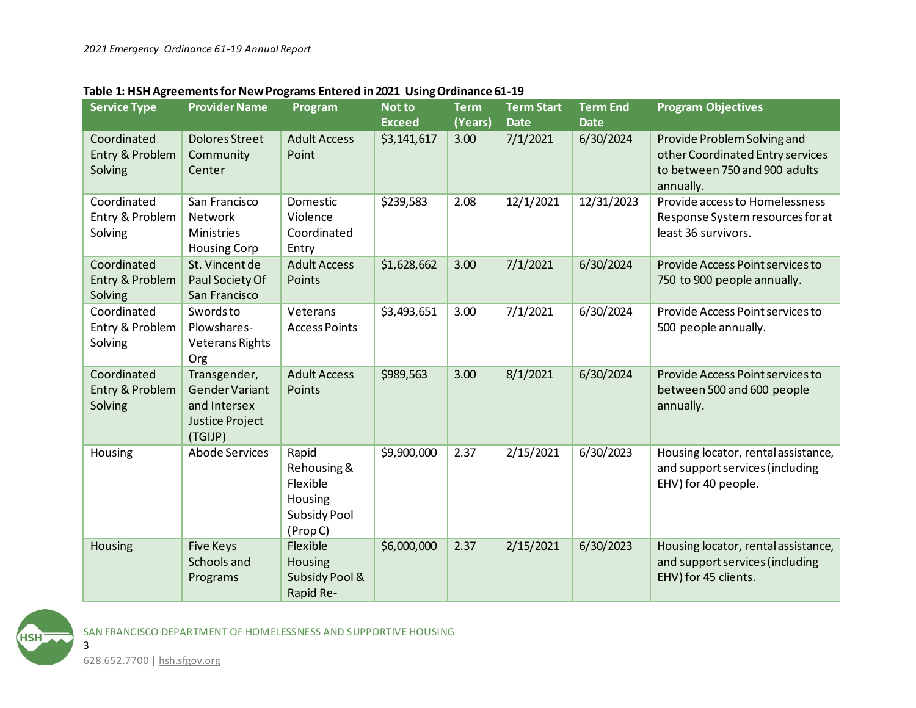| <b>Service Type</b>                       | <b>Provider Name</b>                                                                | Program                                                                        | Not to<br><b>Exceed</b> | <b>Term</b><br>(Years) | <b>Term Start</b><br><b>Date</b> | <b>Term End</b><br><b>Date</b> | <b>Program Objectives</b>                                                                                     |
|-------------------------------------------|-------------------------------------------------------------------------------------|--------------------------------------------------------------------------------|-------------------------|------------------------|----------------------------------|--------------------------------|---------------------------------------------------------------------------------------------------------------|
| Coordinated<br>Entry & Problem<br>Solving | <b>Dolores Street</b><br>Community<br>Center                                        | <b>Adult Access</b><br>Point                                                   | \$3,141,617             | 3.00                   | 7/1/2021                         | 6/30/2024                      | Provide Problem Solving and<br>other Coordinated Entry services<br>to between 750 and 900 adults<br>annually. |
| Coordinated<br>Entry & Problem<br>Solving | San Francisco<br>Network<br><b>Ministries</b><br><b>Housing Corp</b>                | Domestic<br>Violence<br>Coordinated<br>Entry                                   | \$239,583               | 2.08                   | 12/1/2021                        | 12/31/2023                     | Provide access to Homelessness<br>Response System resources for at<br>least 36 survivors.                     |
| Coordinated<br>Entry & Problem<br>Solving | St. Vincent de<br>Paul Society Of<br>San Francisco                                  | <b>Adult Access</b><br>Points                                                  | \$1,628,662             | 3.00                   | 7/1/2021                         | 6/30/2024                      | Provide Access Point services to<br>750 to 900 people annually.                                               |
| Coordinated<br>Entry & Problem<br>Solving | Swords to<br>Plowshares-<br><b>Veterans Rights</b><br>Org                           | Veterans<br><b>Access Points</b>                                               | \$3,493,651             | 3.00                   | 7/1/2021                         | 6/30/2024                      | Provide Access Point services to<br>500 people annually.                                                      |
| Coordinated<br>Entry & Problem<br>Solving | Transgender,<br>Gender Variant<br>and Intersex<br><b>Justice Project</b><br>(TGIJP) | <b>Adult Access</b><br>Points                                                  | \$989,563               | 3.00                   | 8/1/2021                         | 6/30/2024                      | Provide Access Point services to<br>between 500 and 600 people<br>annually.                                   |
| Housing                                   | <b>Abode Services</b>                                                               | Rapid<br>Rehousing &<br>Flexible<br>Housing<br><b>Subsidy Pool</b><br>(Prop C) | \$9,900,000             | 2.37                   | 2/15/2021                        | 6/30/2023                      | Housing locator, rental assistance,<br>and support services (including<br>EHV) for 40 people.                 |
| Housing                                   | <b>Five Keys</b><br>Schools and<br>Programs                                         | Flexible<br><b>Housing</b><br>Subsidy Pool &<br>Rapid Re-                      | \$6,000,000             | 2.37                   | 2/15/2021                        | 6/30/2023                      | Housing locator, rental assistance,<br>and support services (including<br>EHV) for 45 clients.                |

## **Table 1: HSH Agreements for New Programs Entered in 2021 Using Ordinance 61-19**

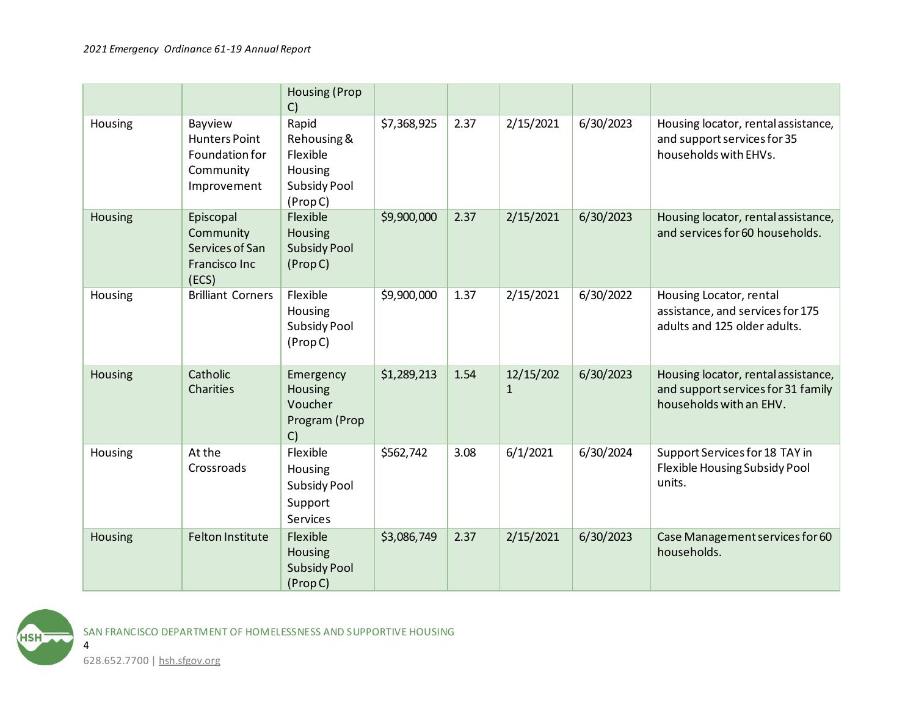|         |                                                                               | <b>Housing (Prop</b><br>C)                                                    |             |      |                           |           |                                                                                                      |
|---------|-------------------------------------------------------------------------------|-------------------------------------------------------------------------------|-------------|------|---------------------------|-----------|------------------------------------------------------------------------------------------------------|
| Housing | Bayview<br><b>Hunters Point</b><br>Foundation for<br>Community<br>Improvement | Rapid<br>Rehousing &<br>Flexible<br>Housing<br><b>Subsidy Pool</b><br>(PropC) | \$7,368,925 | 2.37 | 2/15/2021                 | 6/30/2023 | Housing locator, rental assistance,<br>and support services for 35<br>households with EHVs.          |
| Housing | Episcopal<br>Community<br>Services of San<br>Francisco Inc<br>(ECS)           | Flexible<br>Housing<br><b>Subsidy Pool</b><br>(Prop C)                        | \$9,900,000 | 2.37 | 2/15/2021                 | 6/30/2023 | Housing locator, rental assistance,<br>and services for 60 households.                               |
| Housing | <b>Brilliant Corners</b>                                                      | Flexible<br>Housing<br><b>Subsidy Pool</b><br>(Prop C)                        | \$9,900,000 | 1.37 | 2/15/2021                 | 6/30/2022 | Housing Locator, rental<br>assistance, and services for 175<br>adults and 125 older adults.          |
| Housing | Catholic<br>Charities                                                         | Emergency<br>Housing<br>Voucher<br>Program (Prop<br>C)                        | \$1,289,213 | 1.54 | 12/15/202<br>$\mathbf{1}$ | 6/30/2023 | Housing locator, rental assistance,<br>and support services for 31 family<br>households with an EHV. |
| Housing | At the<br>Crossroads                                                          | Flexible<br>Housing<br><b>Subsidy Pool</b><br>Support<br><b>Services</b>      | \$562,742   | 3.08 | 6/1/2021                  | 6/30/2024 | Support Services for 18 TAY in<br>Flexible Housing Subsidy Pool<br>units.                            |
| Housing | Felton Institute                                                              | Flexible<br>Housing<br><b>Subsidy Pool</b><br>(PropC)                         | \$3,086,749 | 2.37 | 2/15/2021                 | 6/30/2023 | Case Management services for 60<br>households.                                                       |

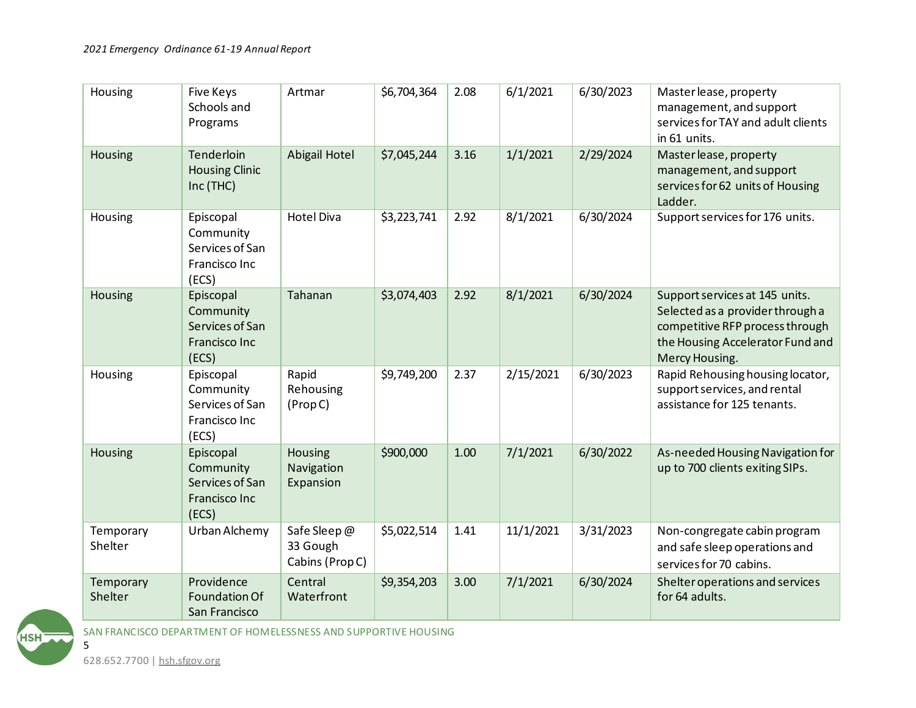| Housing              | <b>Five Keys</b><br>Schools and<br>Programs                         | Artmar                                     | \$6,704,364 | 2.08 | 6/1/2021  | 6/30/2023 | Master lease, property<br>management, and support<br>services for TAY and adult clients<br>in 61 units.                                                     |
|----------------------|---------------------------------------------------------------------|--------------------------------------------|-------------|------|-----------|-----------|-------------------------------------------------------------------------------------------------------------------------------------------------------------|
| Housing              | Tenderloin<br><b>Housing Clinic</b><br>Inc (THC)                    | Abigail Hotel                              | \$7,045,244 | 3.16 | 1/1/2021  | 2/29/2024 | Master lease, property<br>management, and support<br>services for 62 units of Housing<br>Ladder.                                                            |
| Housing              | Episcopal<br>Community<br>Services of San<br>Francisco Inc<br>(ECS) | <b>Hotel Diva</b>                          | \$3,223,741 | 2.92 | 8/1/2021  | 6/30/2024 | Support services for 176 units.                                                                                                                             |
| <b>Housing</b>       | Episcopal<br>Community<br>Services of San<br>Francisco Inc<br>(ECS) | Tahanan                                    | \$3,074,403 | 2.92 | 8/1/2021  | 6/30/2024 | Support services at 145 units.<br>Selected as a provider through a<br>competitive RFP process through<br>the Housing Accelerator Fund and<br>Mercy Housing. |
| Housing              | Episcopal<br>Community<br>Services of San<br>Francisco Inc<br>(ECS) | Rapid<br>Rehousing<br>(Prop C)             | \$9,749,200 | 2.37 | 2/15/2021 | 6/30/2023 | Rapid Rehousing housing locator,<br>support services, and rental<br>assistance for 125 tenants.                                                             |
| <b>Housing</b>       | Episcopal<br>Community<br>Services of San<br>Francisco Inc<br>(ECS) | Housing<br>Navigation<br>Expansion         | \$900,000   | 1.00 | 7/1/2021  | 6/30/2022 | As-needed Housing Navigation for<br>up to 700 clients exiting SIPs.                                                                                         |
| Temporary<br>Shelter | Urban Alchemy                                                       | Safe Sleep@<br>33 Gough<br>Cabins (Prop C) | \$5,022,514 | 1.41 | 11/1/2021 | 3/31/2023 | Non-congregate cabin program<br>and safe sleep operations and<br>services for 70 cabins.                                                                    |
| Temporary<br>Shelter | Providence<br>Foundation Of<br>San Francisco                        | Central<br>Waterfront                      | \$9,354,203 | 3.00 | 7/1/2021  | 6/30/2024 | Shelter operations and services<br>for 64 adults.                                                                                                           |

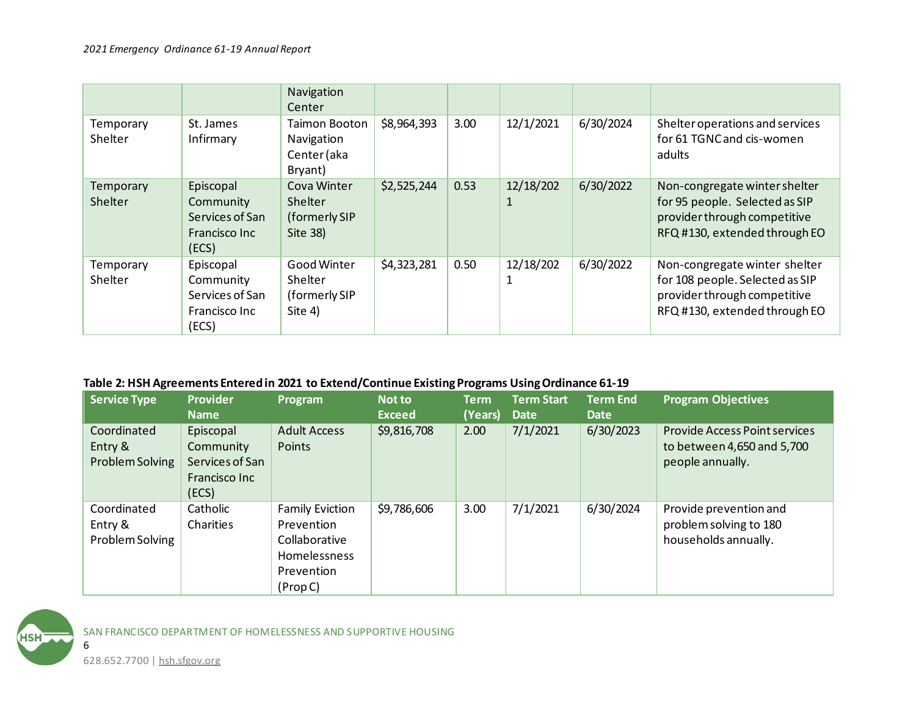|                      |                                                                     | Navigation<br>Center                                         |             |      |                |           |                                                                                                                                   |
|----------------------|---------------------------------------------------------------------|--------------------------------------------------------------|-------------|------|----------------|-----------|-----------------------------------------------------------------------------------------------------------------------------------|
| Temporary<br>Shelter | St. James<br>Infirmary                                              | <b>Taimon Booton</b><br>Navigation<br>Center (aka<br>Bryant) | \$8,964,393 | 3.00 | 12/1/2021      | 6/30/2024 | Shelter operations and services<br>for 61 TGNC and cis-women<br>adults                                                            |
| Temporary<br>Shelter | Episcopal<br>Community<br>Services of San<br>Francisco Inc<br>(ECS) | Cova Winter<br>Shelter<br>(formerly SIP<br>Site 38)          | \$2,525,244 | 0.53 | 12/18/202<br>1 | 6/30/2022 | Non-congregate winter shelter<br>for 95 people. Selected as SIP<br>provider through competitive<br>RFQ #130, extended through EO  |
| Temporary<br>Shelter | Episcopal<br>Community<br>Services of San<br>Francisco Inc<br>(ECS) | Good Winter<br>Shelter<br>(formerly SIP<br>Site 4)           | \$4,323,281 | 0.50 | 12/18/202      | 6/30/2022 | Non-congregate winter shelter<br>for 108 people. Selected as SIP<br>provider through competitive<br>RFQ #130, extended through EO |

## **Table 2: HSH Agreements Entered in 2021 to Extend/Continue Existing Programs Using Ordinance 61-19**

| <b>Service Type</b>                       | <b>Provider</b><br><b>Name</b>                                      | Program                                                                                         | <b>Not to</b><br><b>Exceed</b> | <b>Term</b><br>(Years) | <b>Term Start</b><br><b>Date</b> | <b>Term End</b><br><b>Date</b> | <b>Program Objectives</b>                                                              |
|-------------------------------------------|---------------------------------------------------------------------|-------------------------------------------------------------------------------------------------|--------------------------------|------------------------|----------------------------------|--------------------------------|----------------------------------------------------------------------------------------|
| Coordinated<br>Entry &<br>Problem Solving | Episcopal<br>Community<br>Services of San<br>Francisco Inc<br>(ECS) | <b>Adult Access</b><br>Points                                                                   | \$9,816,708                    | 2.00                   | 7/1/2021                         | 6/30/2023                      | <b>Provide Access Point services</b><br>to between 4,650 and 5,700<br>people annually. |
| Coordinated<br>Entry &<br>Problem Solving | Catholic<br>Charities                                               | <b>Family Eviction</b><br>Prevention<br>Collaborative<br>Homelessness<br>Prevention<br>(Prop C) | \$9,786,606                    | 3.00                   | 7/1/2021                         | 6/30/2024                      | Provide prevention and<br>problem solving to 180<br>households annually.               |

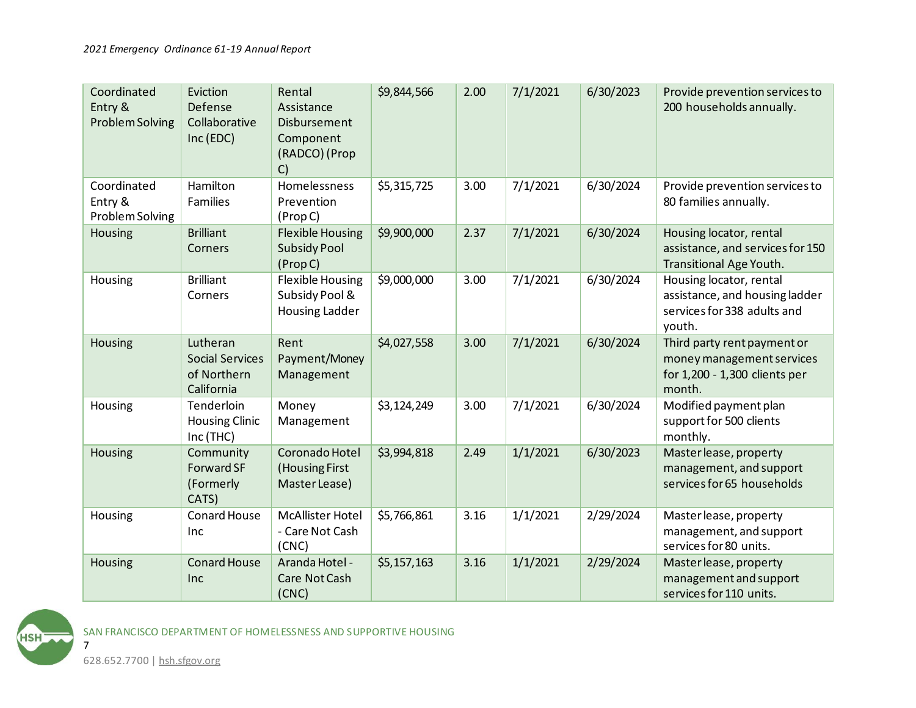| Coordinated<br>Entry &<br><b>Problem Solving</b> | Eviction<br>Defense<br>Collaborative<br>Inc (EDC)               | Rental<br>Assistance<br><b>Disbursement</b><br>Component<br>(RADCO) (Prop<br>C) | \$9,844,566 | 2.00 | 7/1/2021 | 6/30/2023 | Provide prevention services to<br>200 households annually.                                          |
|--------------------------------------------------|-----------------------------------------------------------------|---------------------------------------------------------------------------------|-------------|------|----------|-----------|-----------------------------------------------------------------------------------------------------|
| Coordinated<br>Entry &<br>Problem Solving        | Hamilton<br><b>Families</b>                                     | Homelessness<br>Prevention<br>(Prop C)                                          | \$5,315,725 | 3.00 | 7/1/2021 | 6/30/2024 | Provide prevention services to<br>80 families annually.                                             |
| Housing                                          | <b>Brilliant</b><br>Corners                                     | <b>Flexible Housing</b><br><b>Subsidy Pool</b><br>(Prop C)                      | \$9,900,000 | 2.37 | 7/1/2021 | 6/30/2024 | Housing locator, rental<br>assistance, and services for 150<br>Transitional Age Youth.              |
| Housing                                          | <b>Brilliant</b><br>Corners                                     | <b>Flexible Housing</b><br>Subsidy Pool &<br><b>Housing Ladder</b>              | \$9,000,000 | 3.00 | 7/1/2021 | 6/30/2024 | Housing locator, rental<br>assistance, and housing ladder<br>services for 338 adults and<br>youth.  |
| Housing                                          | Lutheran<br><b>Social Services</b><br>of Northern<br>California | Rent<br>Payment/Money<br>Management                                             | \$4,027,558 | 3.00 | 7/1/2021 | 6/30/2024 | Third party rent payment or<br>money management services<br>for 1,200 - 1,300 clients per<br>month. |
| Housing                                          | Tenderloin<br><b>Housing Clinic</b><br>Inc (THC)                | Money<br>Management                                                             | \$3,124,249 | 3.00 | 7/1/2021 | 6/30/2024 | Modified payment plan<br>support for 500 clients<br>monthly.                                        |
| Housing                                          | Community<br>Forward SF<br>(Formerly<br>CATS)                   | Coronado Hotel<br>(Housing First<br>Master Lease)                               | \$3,994,818 | 2.49 | 1/1/2021 | 6/30/2023 | Master lease, property<br>management, and support<br>services for 65 households                     |
| Housing                                          | <b>Conard House</b><br>Inc                                      | McAllister Hotel<br>- Care Not Cash<br>(CNC)                                    | \$5,766,861 | 3.16 | 1/1/2021 | 2/29/2024 | Master lease, property<br>management, and support<br>services for 80 units.                         |
| Housing                                          | <b>Conard House</b><br>Inc                                      | Aranda Hotel -<br>Care Not Cash<br>(CNC)                                        | \$5,157,163 | 3.16 | 1/1/2021 | 2/29/2024 | Master lease, property<br>management and support<br>services for 110 units.                         |

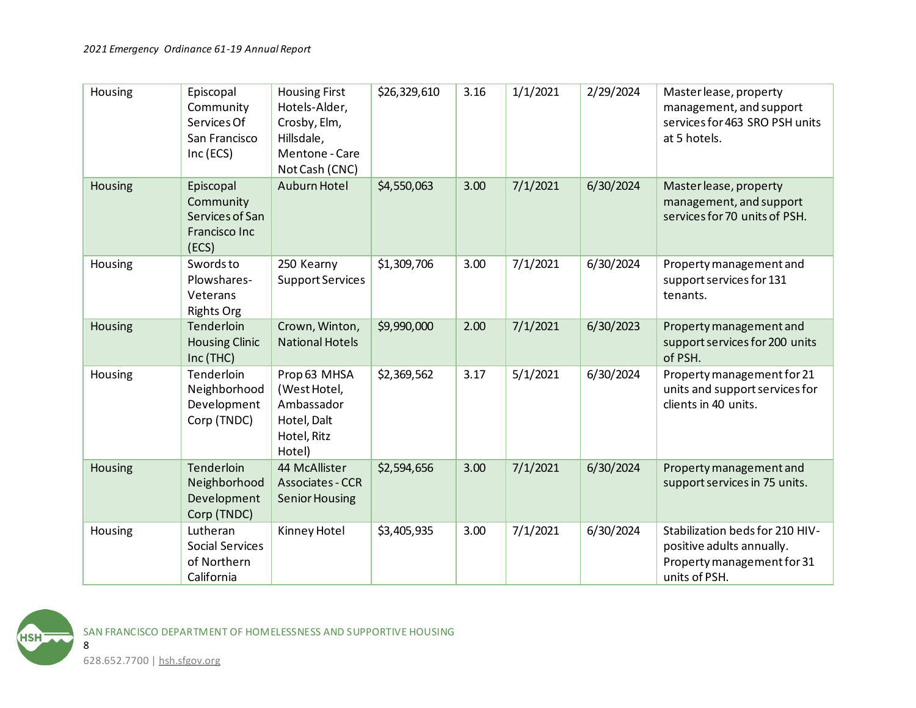| Housing | Episcopal<br>Community<br>Services Of<br>San Francisco<br>Inc (ECS)        | <b>Housing First</b><br>Hotels-Alder,<br>Crosby, Elm,<br>Hillsdale,<br>Mentone - Care<br>Not Cash (CNC) | \$26,329,610 | 3.16 | 1/1/2021 | 2/29/2024 | Master lease, property<br>management, and support<br>services for 463 SRO PSH units<br>at 5 hotels.         |
|---------|----------------------------------------------------------------------------|---------------------------------------------------------------------------------------------------------|--------------|------|----------|-----------|-------------------------------------------------------------------------------------------------------------|
| Housing | Episcopal<br>Community<br>Services of San<br><b>Francisco Inc</b><br>(ECS) | Auburn Hotel                                                                                            | \$4,550,063  | 3.00 | 7/1/2021 | 6/30/2024 | Master lease, property<br>management, and support<br>services for 70 units of PSH.                          |
| Housing | Swords to<br>Plowshares-<br>Veterans<br><b>Rights Org</b>                  | 250 Kearny<br><b>Support Services</b>                                                                   | \$1,309,706  | 3.00 | 7/1/2021 | 6/30/2024 | Property management and<br>support services for 131<br>tenants.                                             |
| Housing | Tenderloin<br><b>Housing Clinic</b><br>Inc (THC)                           | Crown, Winton,<br><b>National Hotels</b>                                                                | \$9,990,000  | 2.00 | 7/1/2021 | 6/30/2023 | Property management and<br>support services for 200 units<br>of PSH.                                        |
| Housing | Tenderloin<br>Neighborhood<br>Development<br>Corp (TNDC)                   | Prop 63 MHSA<br>(West Hotel,<br>Ambassador<br>Hotel, Dalt<br>Hotel, Ritz<br>Hotel)                      | \$2,369,562  | 3.17 | 5/1/2021 | 6/30/2024 | Property management for 21<br>units and support services for<br>clients in 40 units.                        |
| Housing | Tenderloin<br>Neighborhood<br>Development<br>Corp (TNDC)                   | 44 McAllister<br><b>Associates - CCR</b><br><b>Senior Housing</b>                                       | \$2,594,656  | 3.00 | 7/1/2021 | 6/30/2024 | Property management and<br>support services in 75 units.                                                    |
| Housing | Lutheran<br>Social Services<br>of Northern<br>California                   | Kinney Hotel                                                                                            | \$3,405,935  | 3.00 | 7/1/2021 | 6/30/2024 | Stabilization beds for 210 HIV-<br>positive adults annually.<br>Property management for 31<br>units of PSH. |

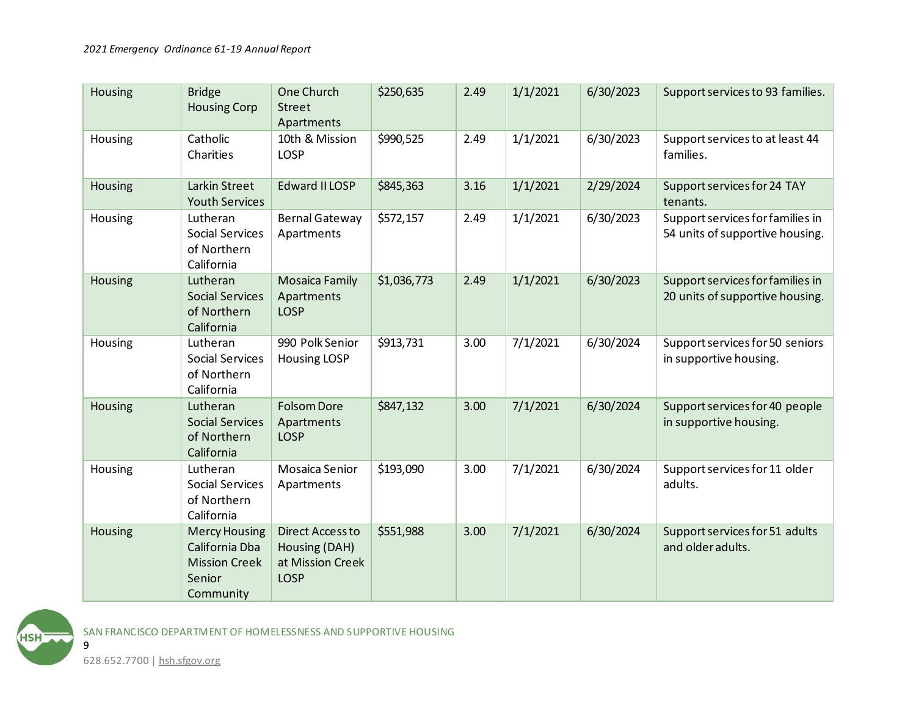| Housing | <b>Bridge</b><br><b>Housing Corp</b>                                                  | One Church<br><b>Street</b><br>Apartments                                   | \$250,635   | 2.49 | 1/1/2021 | 6/30/2023 | Support services to 93 families.                                    |
|---------|---------------------------------------------------------------------------------------|-----------------------------------------------------------------------------|-------------|------|----------|-----------|---------------------------------------------------------------------|
| Housing | Catholic<br>Charities                                                                 | 10th & Mission<br><b>LOSP</b>                                               | \$990,525   | 2.49 | 1/1/2021 | 6/30/2023 | Support services to at least 44<br>families.                        |
| Housing | Larkin Street<br><b>Youth Services</b>                                                | Edward II LOSP                                                              | \$845,363   | 3.16 | 1/1/2021 | 2/29/2024 | Support services for 24 TAY<br>tenants.                             |
| Housing | Lutheran<br><b>Social Services</b><br>of Northern<br>California                       | <b>Bernal Gateway</b><br>Apartments                                         | \$572,157   | 2.49 | 1/1/2021 | 6/30/2023 | Support services for families in<br>54 units of supportive housing. |
| Housing | Lutheran<br><b>Social Services</b><br>of Northern<br>California                       | <b>Mosaica Family</b><br>Apartments<br><b>LOSP</b>                          | \$1,036,773 | 2.49 | 1/1/2021 | 6/30/2023 | Support services for families in<br>20 units of supportive housing. |
| Housing | Lutheran<br>Social Services<br>of Northern<br>California                              | 990 Polk Senior<br><b>Housing LOSP</b>                                      | \$913,731   | 3.00 | 7/1/2021 | 6/30/2024 | Support services for 50 seniors<br>in supportive housing.           |
| Housing | Lutheran<br><b>Social Services</b><br>of Northern<br>California                       | <b>Folsom Dore</b><br>Apartments<br><b>LOSP</b>                             | \$847,132   | 3.00 | 7/1/2021 | 6/30/2024 | Support services for 40 people<br>in supportive housing.            |
| Housing | Lutheran<br><b>Social Services</b><br>of Northern<br>California                       | <b>Mosaica Senior</b><br>Apartments                                         | \$193,090   | 3.00 | 7/1/2021 | 6/30/2024 | Support services for 11 older<br>adults.                            |
| Housing | <b>Mercy Housing</b><br>California Dba<br><b>Mission Creek</b><br>Senior<br>Community | <b>Direct Access to</b><br>Housing (DAH)<br>at Mission Creek<br><b>LOSP</b> | \$551,988   | 3.00 | 7/1/2021 | 6/30/2024 | Support services for 51 adults<br>and older adults.                 |



628.652.7700 | hsh.sfgov.org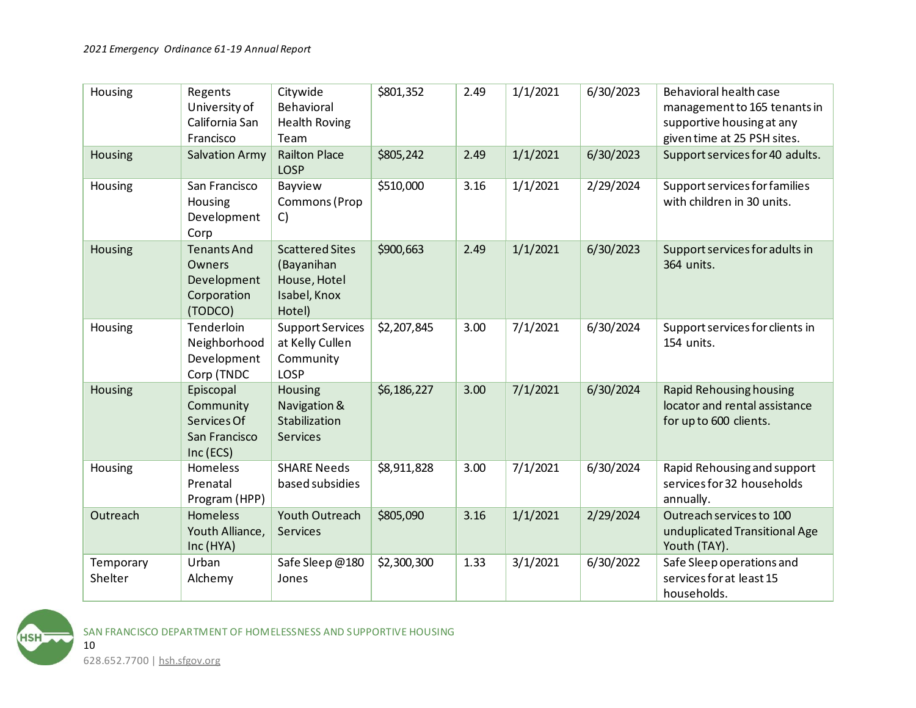| Housing              | Regents<br>University of<br>California San<br>Francisco               | Citywide<br>Behavioral<br><b>Health Roving</b><br>Team                         | \$801,352   | 2.49 | 1/1/2021 | 6/30/2023 | Behavioral health case<br>management to 165 tenants in<br>supportive housing at any<br>given time at 25 PSH sites. |
|----------------------|-----------------------------------------------------------------------|--------------------------------------------------------------------------------|-------------|------|----------|-----------|--------------------------------------------------------------------------------------------------------------------|
| Housing              | <b>Salvation Army</b>                                                 | <b>Railton Place</b><br><b>LOSP</b>                                            | \$805,242   | 2.49 | 1/1/2021 | 6/30/2023 | Support services for 40 adults.                                                                                    |
| Housing              | San Francisco<br>Housing<br>Development<br>Corp                       | Bayview<br>Commons (Prop<br>C)                                                 | \$510,000   | 3.16 | 1/1/2021 | 2/29/2024 | Support services for families<br>with children in 30 units.                                                        |
| Housing              | <b>Tenants And</b><br>Owners<br>Development<br>Corporation<br>(TODCO) | <b>Scattered Sites</b><br>(Bayanihan<br>House, Hotel<br>Isabel, Knox<br>Hotel) | \$900,663   | 2.49 | 1/1/2021 | 6/30/2023 | Support services for adults in<br>364 units.                                                                       |
| Housing              | Tenderloin<br>Neighborhood<br>Development<br>Corp (TNDC               | <b>Support Services</b><br>at Kelly Cullen<br>Community<br><b>LOSP</b>         | \$2,207,845 | 3.00 | 7/1/2021 | 6/30/2024 | Support services for clients in<br>154 units.                                                                      |
| Housing              | Episcopal<br>Community<br>Services Of<br>San Francisco<br>Inc (ECS)   | Housing<br>Navigation &<br>Stabilization<br><b>Services</b>                    | \$6,186,227 | 3.00 | 7/1/2021 | 6/30/2024 | <b>Rapid Rehousing housing</b><br>locator and rental assistance<br>for up to 600 clients.                          |
| Housing              | Homeless<br>Prenatal<br>Program (HPP)                                 | <b>SHARE Needs</b><br>based subsidies                                          | \$8,911,828 | 3.00 | 7/1/2021 | 6/30/2024 | Rapid Rehousing and support<br>services for 32 households<br>annually.                                             |
| Outreach             | Homeless<br>Youth Alliance,<br>Inc (HYA)                              | Youth Outreach<br><b>Services</b>                                              | \$805,090   | 3.16 | 1/1/2021 | 2/29/2024 | Outreach services to 100<br>unduplicated Transitional Age<br>Youth (TAY).                                          |
| Temporary<br>Shelter | Urban<br>Alchemy                                                      | Safe Sleep@180<br>Jones                                                        | \$2,300,300 | 1.33 | 3/1/2021 | 6/30/2022 | Safe Sleep operations and<br>services for at least 15<br>households.                                               |

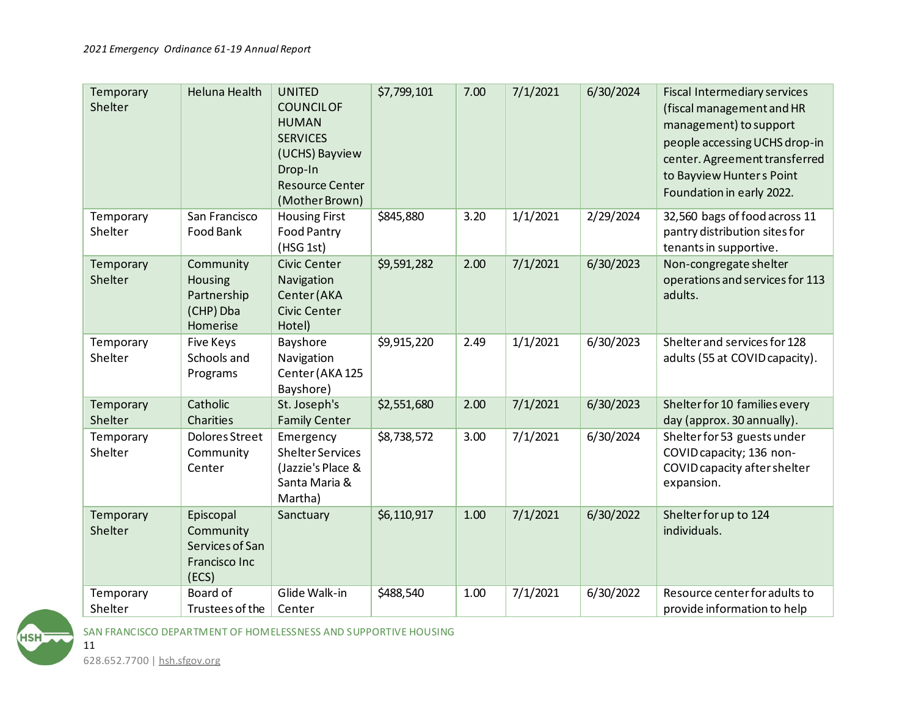| Temporary<br>Shelter | <b>Heluna Health</b>                                                | <b>UNITED</b><br><b>COUNCILOF</b><br><b>HUMAN</b><br><b>SERVICES</b><br>(UCHS) Bayview<br>Drop-In<br><b>Resource Center</b><br>(Mother Brown) | \$7,799,101 | 7.00 | 7/1/2021 | 6/30/2024 | Fiscal Intermediary services<br>(fiscal management and HR<br>management) to support<br>people accessing UCHS drop-in<br>center. Agreement transferred<br>to Bayview Hunters Point<br>Foundation in early 2022. |
|----------------------|---------------------------------------------------------------------|-----------------------------------------------------------------------------------------------------------------------------------------------|-------------|------|----------|-----------|----------------------------------------------------------------------------------------------------------------------------------------------------------------------------------------------------------------|
| Temporary<br>Shelter | San Francisco<br>Food Bank                                          | <b>Housing First</b><br><b>Food Pantry</b><br>(HSG 1st)                                                                                       | \$845,880   | 3.20 | 1/1/2021 | 2/29/2024 | 32,560 bags of food across 11<br>pantry distribution sites for<br>tenants in supportive.                                                                                                                       |
| Temporary<br>Shelter | Community<br>Housing<br>Partnership<br>(CHP) Dba<br>Homerise        | Civic Center<br>Navigation<br>Center (AKA<br>Civic Center<br>Hotel)                                                                           | \$9,591,282 | 2.00 | 7/1/2021 | 6/30/2023 | Non-congregate shelter<br>operations and services for 113<br>adults.                                                                                                                                           |
| Temporary<br>Shelter | <b>Five Keys</b><br>Schools and<br>Programs                         | Bayshore<br>Navigation<br>Center (AKA 125<br>Bayshore)                                                                                        | \$9,915,220 | 2.49 | 1/1/2021 | 6/30/2023 | Shelter and services for 128<br>adults (55 at COVID capacity).                                                                                                                                                 |
| Temporary<br>Shelter | Catholic<br><b>Charities</b>                                        | St. Joseph's<br><b>Family Center</b>                                                                                                          | \$2,551,680 | 2.00 | 7/1/2021 | 6/30/2023 | Shelter for 10 families every<br>day (approx. 30 annually).                                                                                                                                                    |
| Temporary<br>Shelter | Dolores Street<br>Community<br>Center                               | Emergency<br><b>Shelter Services</b><br>(Jazzie's Place &<br>Santa Maria &<br>Martha)                                                         | \$8,738,572 | 3.00 | 7/1/2021 | 6/30/2024 | Shelter for 53 guests under<br>COVID capacity; 136 non-<br>COVID capacity after shelter<br>expansion.                                                                                                          |
| Temporary<br>Shelter | Episcopal<br>Community<br>Services of San<br>Francisco Inc<br>(ECS) | Sanctuary                                                                                                                                     | \$6,110,917 | 1.00 | 7/1/2021 | 6/30/2022 | Shelter for up to 124<br>individuals.                                                                                                                                                                          |
| Temporary<br>Shelter | Board of<br>Trustees of the                                         | Glide Walk-in<br>Center                                                                                                                       | \$488,540   | 1.00 | 7/1/2021 | 6/30/2022 | Resource center for adults to<br>provide information to help                                                                                                                                                   |